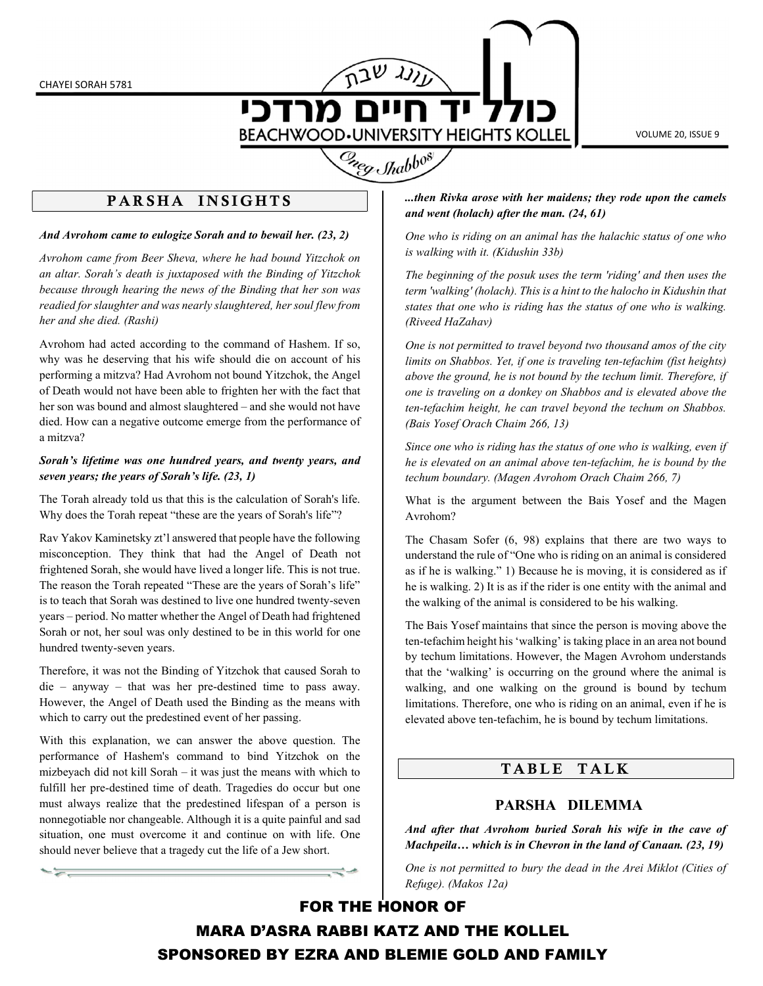

VOLUME 20, ISSUE 9

# Greg Shabbos

### PARSHA INSIGHTS

#### And Avrohom came to eulogize Sorah and to bewail her. (23, 2)

Avrohom came from Beer Sheva, where he had bound Yitzchok on an altar. Sorah's death is juxtaposed with the Binding of Yitzchok because through hearing the news of the Binding that her son was readied for slaughter and was nearly slaughtered, her soul flew from her and she died. (Rashi)

Avrohom had acted according to the command of Hashem. If so, why was he deserving that his wife should die on account of his performing a mitzva? Had Avrohom not bound Yitzchok, the Angel of Death would not have been able to frighten her with the fact that her son was bound and almost slaughtered – and she would not have died. How can a negative outcome emerge from the performance of a mitzva?

#### Sorah's lifetime was one hundred years, and twenty years, and seven years; the years of Sorah's life. (23, 1)

The Torah already told us that this is the calculation of Sorah's life. Why does the Torah repeat "these are the years of Sorah's life"?

Rav Yakov Kaminetsky zt'l answered that people have the following misconception. They think that had the Angel of Death not frightened Sorah, she would have lived a longer life. This is not true. The reason the Torah repeated "These are the years of Sorah's life" is to teach that Sorah was destined to live one hundred twenty-seven years – period. No matter whether the Angel of Death had frightened Sorah or not, her soul was only destined to be in this world for one hundred twenty-seven years.

Therefore, it was not the Binding of Yitzchok that caused Sorah to die – anyway – that was her pre-destined time to pass away. However, the Angel of Death used the Binding as the means with which to carry out the predestined event of her passing.

With this explanation, we can answer the above question. The performance of Hashem's command to bind Yitzchok on the mizbeyach did not kill Sorah – it was just the means with which to fulfill her pre-destined time of death. Tragedies do occur but one must always realize that the predestined lifespan of a person is nonnegotiable nor changeable. Although it is a quite painful and sad situation, one must overcome it and continue on with life. One should never believe that a tragedy cut the life of a Jew short.

ļ

...then Rivka arose with her maidens; they rode upon the camels and went (holach) after the man. (24, 61)

One who is riding on an animal has the halachic status of one who is walking with it. (Kidushin 33b)

The beginning of the posuk uses the term 'riding' and then uses the term 'walking' (holach). This is a hint to the halocho in Kidushin that states that one who is riding has the status of one who is walking. (Riveed HaZahav)

One is not permitted to travel beyond two thousand amos of the city limits on Shabbos. Yet, if one is traveling ten-tefachim (fist heights) above the ground, he is not bound by the techum limit. Therefore, if one is traveling on a donkey on Shabbos and is elevated above the ten-tefachim height, he can travel beyond the techum on Shabbos. (Bais Yosef Orach Chaim 266, 13)

Since one who is riding has the status of one who is walking, even if he is elevated on an animal above ten-tefachim, he is bound by the techum boundary. (Magen Avrohom Orach Chaim 266, 7)

What is the argument between the Bais Yosef and the Magen Avrohom?

The Chasam Sofer (6, 98) explains that there are two ways to understand the rule of "One who is riding on an animal is considered as if he is walking." 1) Because he is moving, it is considered as if he is walking. 2) It is as if the rider is one entity with the animal and the walking of the animal is considered to be his walking.

The Bais Yosef maintains that since the person is moving above the ten-tefachim height his 'walking' is taking place in an area not bound by techum limitations. However, the Magen Avrohom understands that the 'walking' is occurring on the ground where the animal is walking, and one walking on the ground is bound by techum limitations. Therefore, one who is riding on an animal, even if he is elevated above ten-tefachim, he is bound by techum limitations.

## TABLE TALK

#### PARSHA DILEMMA

And after that Avrohom buried Sorah his wife in the cave of Machpeila… which is in Chevron in the land of Canaan. (23, 19)

One is not permitted to bury the dead in the Arei Miklot (Cities of Refuge). (Makos 12a)

FOR THE HONOR OF MARA D'ASRA RABBI KATZ AND THE KOLLEL SPONSORED BY EZRA AND BLEMIE GOLD AND FAMILY